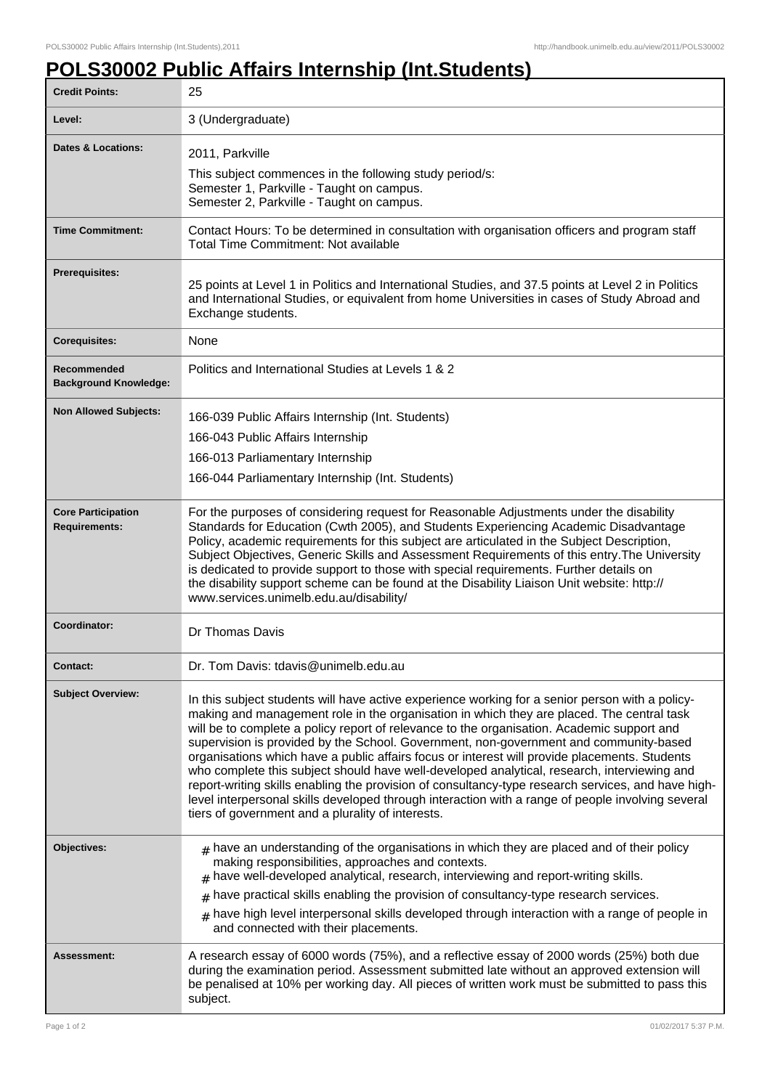## **POLS30002 Public Affairs Internship (Int.Students)**

| <b>Credit Points:</b>                             | 25                                                                                                                                                                                                                                                                                                                                                                                                                                                                                                                                                                                                                                                                                                                                                                                                                                                  |
|---------------------------------------------------|-----------------------------------------------------------------------------------------------------------------------------------------------------------------------------------------------------------------------------------------------------------------------------------------------------------------------------------------------------------------------------------------------------------------------------------------------------------------------------------------------------------------------------------------------------------------------------------------------------------------------------------------------------------------------------------------------------------------------------------------------------------------------------------------------------------------------------------------------------|
| Level:                                            | 3 (Undergraduate)                                                                                                                                                                                                                                                                                                                                                                                                                                                                                                                                                                                                                                                                                                                                                                                                                                   |
| <b>Dates &amp; Locations:</b>                     | 2011, Parkville<br>This subject commences in the following study period/s:<br>Semester 1, Parkville - Taught on campus.<br>Semester 2, Parkville - Taught on campus.                                                                                                                                                                                                                                                                                                                                                                                                                                                                                                                                                                                                                                                                                |
| <b>Time Commitment:</b>                           | Contact Hours: To be determined in consultation with organisation officers and program staff<br>Total Time Commitment: Not available                                                                                                                                                                                                                                                                                                                                                                                                                                                                                                                                                                                                                                                                                                                |
| <b>Prerequisites:</b>                             | 25 points at Level 1 in Politics and International Studies, and 37.5 points at Level 2 in Politics<br>and International Studies, or equivalent from home Universities in cases of Study Abroad and<br>Exchange students.                                                                                                                                                                                                                                                                                                                                                                                                                                                                                                                                                                                                                            |
| <b>Corequisites:</b>                              | None                                                                                                                                                                                                                                                                                                                                                                                                                                                                                                                                                                                                                                                                                                                                                                                                                                                |
| Recommended<br><b>Background Knowledge:</b>       | Politics and International Studies at Levels 1 & 2                                                                                                                                                                                                                                                                                                                                                                                                                                                                                                                                                                                                                                                                                                                                                                                                  |
| <b>Non Allowed Subjects:</b>                      | 166-039 Public Affairs Internship (Int. Students)<br>166-043 Public Affairs Internship<br>166-013 Parliamentary Internship<br>166-044 Parliamentary Internship (Int. Students)                                                                                                                                                                                                                                                                                                                                                                                                                                                                                                                                                                                                                                                                      |
| <b>Core Participation</b><br><b>Requirements:</b> | For the purposes of considering request for Reasonable Adjustments under the disability<br>Standards for Education (Cwth 2005), and Students Experiencing Academic Disadvantage<br>Policy, academic requirements for this subject are articulated in the Subject Description,<br>Subject Objectives, Generic Skills and Assessment Requirements of this entry. The University<br>is dedicated to provide support to those with special requirements. Further details on<br>the disability support scheme can be found at the Disability Liaison Unit website: http://<br>www.services.unimelb.edu.au/disability/                                                                                                                                                                                                                                    |
| Coordinator:                                      | Dr Thomas Davis                                                                                                                                                                                                                                                                                                                                                                                                                                                                                                                                                                                                                                                                                                                                                                                                                                     |
| Contact:                                          | Dr. Tom Davis: tdavis@unimelb.edu.au                                                                                                                                                                                                                                                                                                                                                                                                                                                                                                                                                                                                                                                                                                                                                                                                                |
| <b>Subject Overview:</b>                          | In this subject students will have active experience working for a senior person with a policy-<br>making and management role in the organisation in which they are placed. The central task<br>will be to complete a policy report of relevance to the organisation. Academic support and<br>supervision is provided by the School. Government, non-government and community-based<br>organisations which have a public affairs focus or interest will provide placements. Students<br>who complete this subject should have well-developed analytical, research, interviewing and<br>report-writing skills enabling the provision of consultancy-type research services, and have high-<br>level interpersonal skills developed through interaction with a range of people involving several<br>tiers of government and a plurality of interests. |
| Objectives:                                       | $_{\#}$ have an understanding of the organisations in which they are placed and of their policy<br>making responsibilities, approaches and contexts.<br>$#$ have well-developed analytical, research, interviewing and report-writing skills.<br>have practical skills enabling the provision of consultancy-type research services.<br>#<br>$*$ have high level interpersonal skills developed through interaction with a range of people in<br>and connected with their placements.                                                                                                                                                                                                                                                                                                                                                               |
| Assessment:                                       | A research essay of 6000 words (75%), and a reflective essay of 2000 words (25%) both due<br>during the examination period. Assessment submitted late without an approved extension will<br>be penalised at 10% per working day. All pieces of written work must be submitted to pass this<br>subject.                                                                                                                                                                                                                                                                                                                                                                                                                                                                                                                                              |